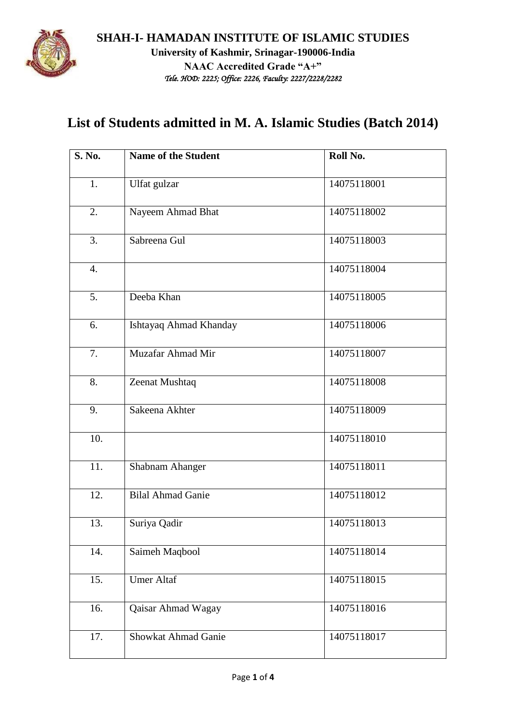

## **List of Students admitted in M. A. Islamic Studies (Batch 2014)**

| <b>S. No.</b>    | <b>Name of the Student</b> | Roll No.    |
|------------------|----------------------------|-------------|
| 1.               | Ulfat gulzar               | 14075118001 |
| 2.               | Nayeem Ahmad Bhat          | 14075118002 |
| $\overline{3}$ . | Sabreena Gul               | 14075118003 |
| $\overline{4}$ . |                            | 14075118004 |
| 5.               | Deeba Khan                 | 14075118005 |
| 6.               | Ishtayaq Ahmad Khanday     | 14075118006 |
| 7.               | Muzafar Ahmad Mir          | 14075118007 |
| 8.               | Zeenat Mushtaq             | 14075118008 |
| 9.               | Sakeena Akhter             | 14075118009 |
| 10.              |                            | 14075118010 |
| 11.              | Shabnam Ahanger            | 14075118011 |
| 12.              | <b>Bilal Ahmad Ganie</b>   | 14075118012 |
| 13.              | Suriya Qadir               | 14075118013 |
| 14.              | Saimeh Maqbool             | 14075118014 |
| 15.              | <b>Umer Altaf</b>          | 14075118015 |
| 16.              | Qaisar Ahmad Wagay         | 14075118016 |
| 17.              | Showkat Ahmad Ganie        | 14075118017 |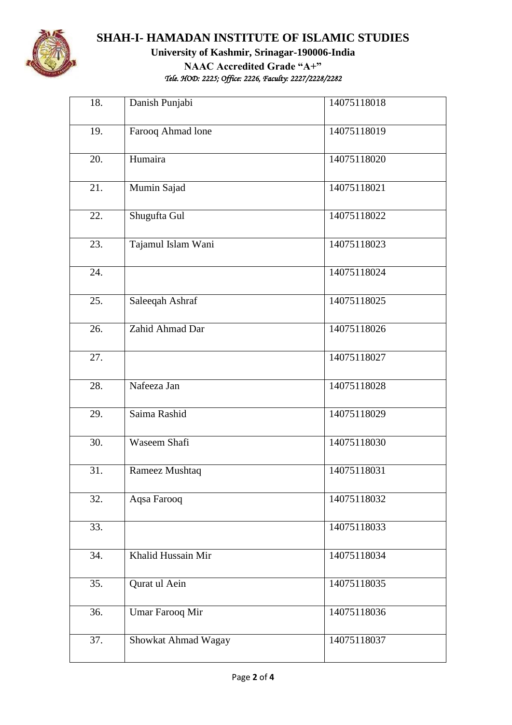

## **SHAH-I- HAMADAN INSTITUTE OF ISLAMIC STUDIES University of Kashmir, Srinagar-190006-India NAAC Accredited Grade "A+"** *Tele. HOD: 2225; Office: 2226, Faculty: 2227/2228/2282*

 $\overline{\phantom{0}}$ 

| 18. | Danish Punjabi      | 14075118018 |
|-----|---------------------|-------------|
| 19. | Farooq Ahmad lone   | 14075118019 |
| 20. | Humaira             | 14075118020 |
| 21. | Mumin Sajad         | 14075118021 |
| 22. | Shugufta Gul        | 14075118022 |
| 23. | Tajamul Islam Wani  | 14075118023 |
| 24. |                     | 14075118024 |
| 25. | Saleeqah Ashraf     | 14075118025 |
| 26. | Zahid Ahmad Dar     | 14075118026 |
| 27. |                     | 14075118027 |
| 28. | Nafeeza Jan         | 14075118028 |
| 29. | Saima Rashid        | 14075118029 |
| 30. | Waseem Shafi        | 14075118030 |
| 31. | Rameez Mushtaq      | 14075118031 |
| 32. | Aqsa Farooq         | 14075118032 |
| 33. |                     | 14075118033 |
| 34. | Khalid Hussain Mir  | 14075118034 |
| 35. | Qurat ul Aein       | 14075118035 |
| 36. | Umar Farooq Mir     | 14075118036 |
| 37. | Showkat Ahmad Wagay | 14075118037 |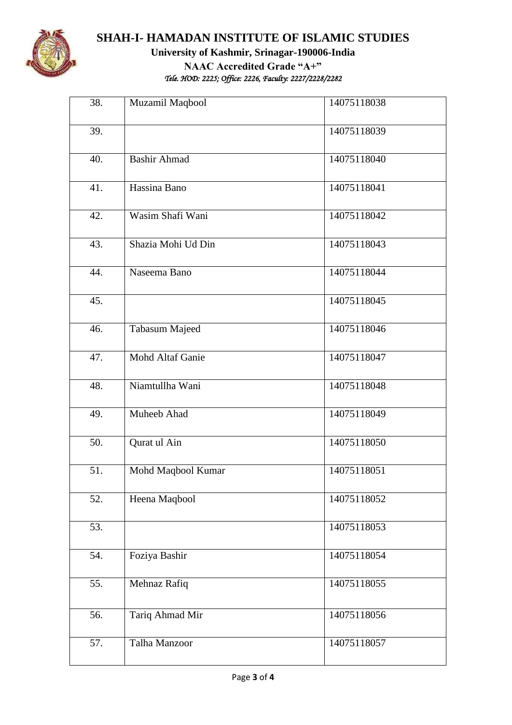

## **SHAH-I- HAMADAN INSTITUTE OF ISLAMIC STUDIES University of Kashmir, Srinagar-190006-India NAAC Accredited Grade "A+"** *Tele. HOD: 2225; Office: 2226, Faculty: 2227/2228/2282*

| 38. | Muzamil Maqbool         | 14075118038 |
|-----|-------------------------|-------------|
| 39. |                         | 14075118039 |
| 40. | <b>Bashir Ahmad</b>     | 14075118040 |
| 41. | Hassina Bano            | 14075118041 |
| 42. | Wasim Shafi Wani        | 14075118042 |
| 43. | Shazia Mohi Ud Din      | 14075118043 |
| 44. | Naseema Bano            | 14075118044 |
| 45. |                         | 14075118045 |
| 46. | <b>Tabasum Majeed</b>   | 14075118046 |
| 47. | <b>Mohd Altaf Ganie</b> | 14075118047 |
| 48. | Niamtullha Wani         | 14075118048 |
| 49. | Muheeb Ahad             | 14075118049 |
| 50. | Qurat ul Ain            | 14075118050 |
| 51. | Mohd Maqbool Kumar      | 14075118051 |
| 52. | Heena Maqbool           | 14075118052 |
| 53. |                         | 14075118053 |
| 54. | Foziya Bashir           | 14075118054 |
| 55. | Mehnaz Rafiq            | 14075118055 |
| 56. | Tariq Ahmad Mir         | 14075118056 |
| 57. | Talha Manzoor           | 14075118057 |